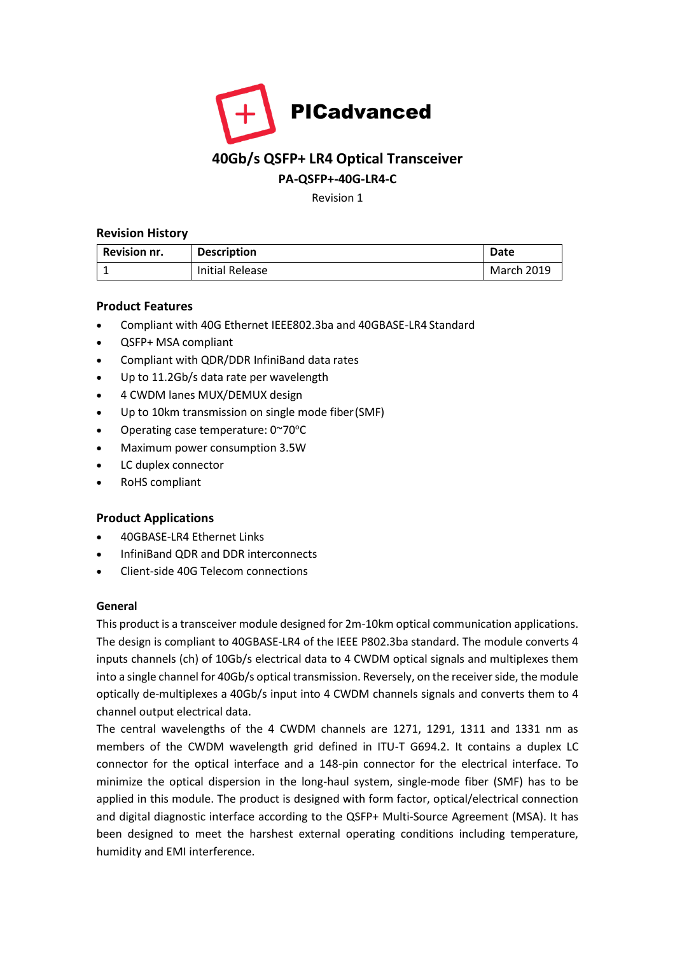

# **40Gb/s QSFP+ LR4 Optical Transceiver**

## **PA-QSFP+-40G-LR4-C**

Revision 1

### **Revision History**

| <b>Revision nr.</b> | <b>Description</b>     | Date              |
|---------------------|------------------------|-------------------|
|                     | <b>Initial Release</b> | <b>March 2019</b> |

## **Product Features**

- Compliant with 40G Ethernet IEEE802.3ba and 40GBASE-LR4 Standard
- QSFP+ MSA compliant
- Compliant with QDR/DDR InfiniBand data rates
- Up to 11.2Gb/s data rate per wavelength
- 4 CWDM lanes MUX/DEMUX design
- Up to 10km transmission on single mode fiber (SMF)
- Operating case temperature:  $0^{\sim}70^{\circ}$ C
- Maximum power consumption 3.5W
- LC duplex connector
- RoHS compliant

## **Product Applications**

- 40GBASE-LR4 Ethernet Links
- InfiniBand QDR and DDR interconnects
- Client-side 40G Telecom connections

## **General**

This product is a transceiver module designed for 2m-10km optical communication applications. The design is compliant to 40GBASE-LR4 of the IEEE P802.3ba standard. The module converts 4 inputs channels (ch) of 10Gb/s electrical data to 4 CWDM optical signals and multiplexes them into a single channel for 40Gb/s optical transmission. Reversely, on the receiver side, the module optically de-multiplexes a 40Gb/s input into 4 CWDM channels signals and converts them to 4 channel output electrical data.

The central wavelengths of the 4 CWDM channels are 1271, 1291, 1311 and 1331 nm as members of the CWDM wavelength grid defined in ITU-T G694.2. It contains a duplex LC connector for the optical interface and a 148-pin connector for the electrical interface. To minimize the optical dispersion in the long-haul system, single-mode fiber (SMF) has to be applied in this module. The product is designed with form factor, optical/electrical connection and digital diagnostic interface according to the QSFP+ Multi-Source Agreement (MSA). It has been designed to meet the harshest external operating conditions including temperature, humidity and EMI interference.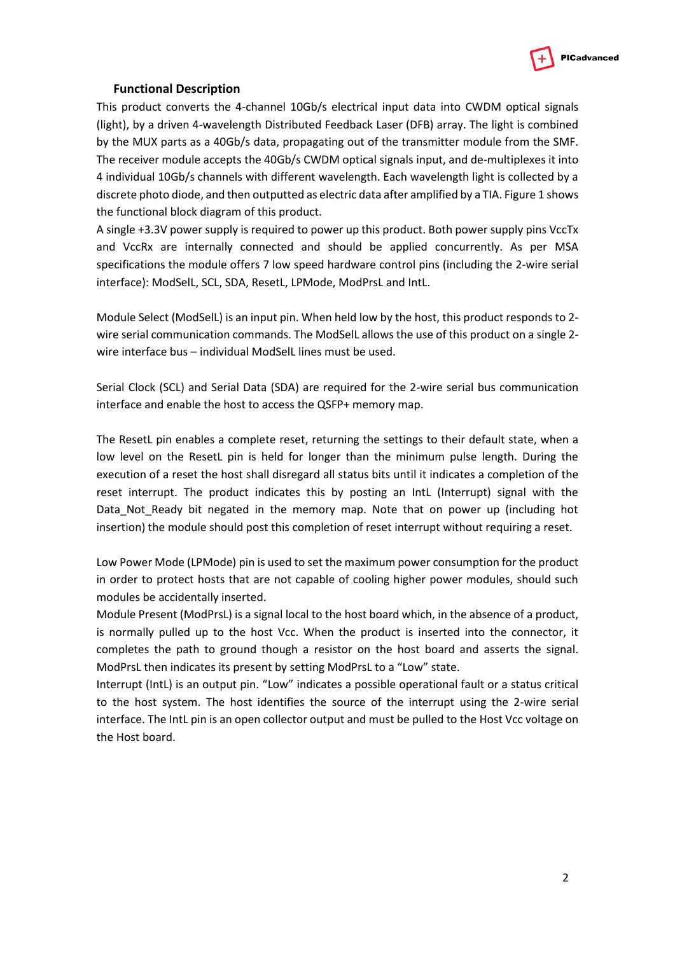

#### **Functional Description**

This product converts the 4-channel 10Gb/s electrical input data into CWDM optical signals (light), by a driven 4-wavelength Distributed Feedback Laser (DFB) array. The light is combined by the MUX parts as a 40Gb/s data, propagating out of the transmitter module from the SMF. The receiver module accepts the 40Gb/s CWDM optical signals input, and de-multiplexes it into 4 individual 10Gb/s channels with different wavelength. Each wavelength light is collected by a discrete photo diode, and then outputted as electric data after amplified by a TIA. Figure 1 shows the functional block diagram of this product.

A single +3.3V power supply is required to power up this product. Both power supply pins VccTx and VccRx are internally connected and should be applied concurrently. As per MSA specifications the module offers 7 low speed hardware control pins (including the 2-wire serial interface): ModSelL, SCL, SDA, ResetL, LPMode, ModPrsL and IntL.

Module Select (ModSelL) is an input pin. When held low by the host, this product responds to 2 wire serial communication commands. The ModSelL allows the use of this product on a single 2 wire interface bus – individual ModSelL lines must be used.

Serial Clock (SCL) and Serial Data (SDA) are required for the 2-wire serial bus communication interface and enable the host to access the QSFP+ memory map.

The ResetL pin enables a complete reset, returning the settings to their default state, when a low level on the ResetL pin is held for longer than the minimum pulse length. During the execution of a reset the host shall disregard all status bits until it indicates a completion of the reset interrupt. The product indicates this by posting an IntL (Interrupt) signal with the Data\_Not\_Ready bit negated in the memory map. Note that on power up (including hot insertion) the module should post this completion of reset interrupt without requiring a reset.

Low Power Mode (LPMode) pin is used to set the maximum power consumption for the product in order to protect hosts that are not capable of cooling higher power modules, should such modules be accidentally inserted.

Module Present (ModPrsL) is a signal local to the host board which, in the absence of a product, is normally pulled up to the host Vcc. When the product is inserted into the connector, it completes the path to ground though a resistor on the host board and asserts the signal. ModPrsL then indicates its present by setting ModPrsL to a "Low" state.

Interrupt (IntL) is an output pin. "Low" indicates a possible operational fault or a status critical to the host system. The host identifies the source of the interrupt using the 2-wire serial interface. The IntL pin is an open collector output and must be pulled to the Host Vcc voltage on the Host board.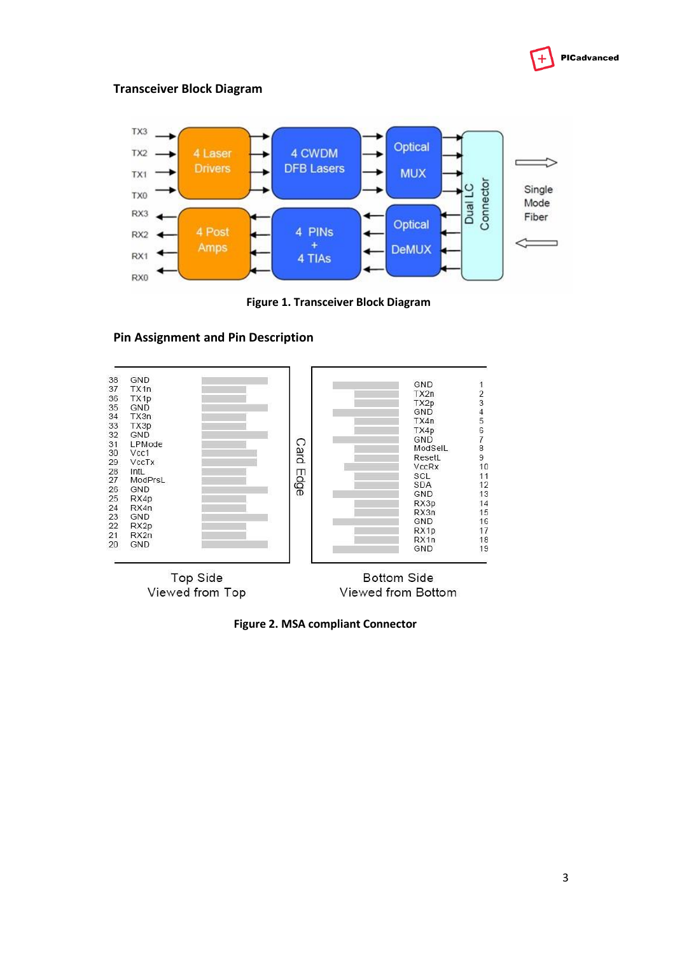

#### **Transceiver Block Diagram**



**Figure 1. Transceiver Block Diagram**



#### **Pin Assignment and Pin Description**

**Figure 2. MSA compliant Connector**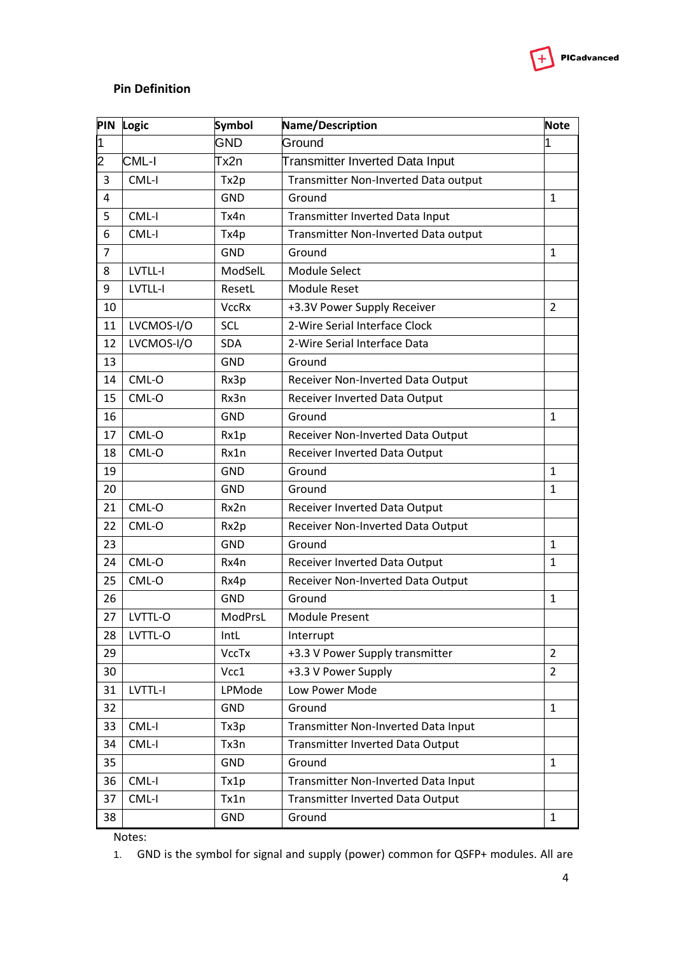

## **Pin Definition**

| <b>PIN</b>              | Logic      | Symbol       | Name/Description                     | <b>Note</b>    |
|-------------------------|------------|--------------|--------------------------------------|----------------|
| $\overline{\mathbf{1}}$ |            | <b>GND</b>   | Ground                               | 1              |
| 2                       | CML-I      | Tx2n         | Transmitter Inverted Data Input      |                |
| 3                       | CML-I      | Tx2p         | Transmitter Non-Inverted Data output |                |
| 4                       |            | <b>GND</b>   | Ground                               | 1              |
| 5                       | CML-I      | Tx4n         | Transmitter Inverted Data Input      |                |
| 6                       | CML-I      | Tx4p         | Transmitter Non-Inverted Data output |                |
| $\overline{7}$          |            | <b>GND</b>   | Ground                               | 1              |
| 8                       | LVTLL-I    | ModSelL      | <b>Module Select</b>                 |                |
| 9                       | LVTLL-I    | ResetL       | <b>Module Reset</b>                  |                |
| 10                      |            | <b>VccRx</b> | +3.3V Power Supply Receiver          | $\overline{2}$ |
| 11                      | LVCMOS-I/O | <b>SCL</b>   | 2-Wire Serial Interface Clock        |                |
| 12                      | LVCMOS-I/O | <b>SDA</b>   | 2-Wire Serial Interface Data         |                |
| 13                      |            | <b>GND</b>   | Ground                               |                |
| 14                      | CML-O      | Rx3p         | Receiver Non-Inverted Data Output    |                |
| 15                      | CML-O      | Rx3n         | Receiver Inverted Data Output        |                |
| 16                      |            | <b>GND</b>   | Ground                               | $\mathbf{1}$   |
| 17                      | CML-O      | Rx1p         | Receiver Non-Inverted Data Output    |                |
| 18                      | CML-O      | Rx1n         | Receiver Inverted Data Output        |                |
| 19                      |            | <b>GND</b>   | Ground                               | $\mathbf{1}$   |
| 20                      |            | <b>GND</b>   | Ground                               | $\mathbf{1}$   |
| 21                      | CML-O      | Rx2n         | Receiver Inverted Data Output        |                |
| 22                      | CML-O      | Rx2p         | Receiver Non-Inverted Data Output    |                |
| 23                      |            | <b>GND</b>   | Ground                               | $\mathbf{1}$   |
| 24                      | CML-O      | Rx4n         | Receiver Inverted Data Output        | $\mathbf{1}$   |
| 25                      | CML-O      | Rx4p         | Receiver Non-Inverted Data Output    |                |
| 26                      |            | <b>GND</b>   | Ground                               | $\mathbf{1}$   |
| 27                      | LVTTL-O    | ModPrsL      | <b>Module Present</b>                |                |
| 28                      | LVTTL-O    | IntL         | Interrupt                            |                |
| 29                      |            | <b>VccTx</b> | +3.3 V Power Supply transmitter      | $\overline{2}$ |
| 30                      |            | Vcc1         | +3.3 V Power Supply                  | $\overline{2}$ |
| 31                      | LVTTL-I    | LPMode       | Low Power Mode                       |                |
| 32                      |            | <b>GND</b>   | Ground                               | $\mathbf{1}$   |
| 33                      | CML-I      | Tx3p         | Transmitter Non-Inverted Data Input  |                |
| 34                      | CML-I      | Tx3n         | Transmitter Inverted Data Output     |                |
| 35                      |            | <b>GND</b>   | Ground                               | $\mathbf{1}$   |
| 36                      | CML-I      | Tx1p         | Transmitter Non-Inverted Data Input  |                |
| 37                      | CML-I      | Tx1n         | Transmitter Inverted Data Output     |                |
| 38                      |            | <b>GND</b>   | Ground                               | 1              |

Notes:

1. GND is the symbol for signal and supply (power) common for QSFP+ modules. All are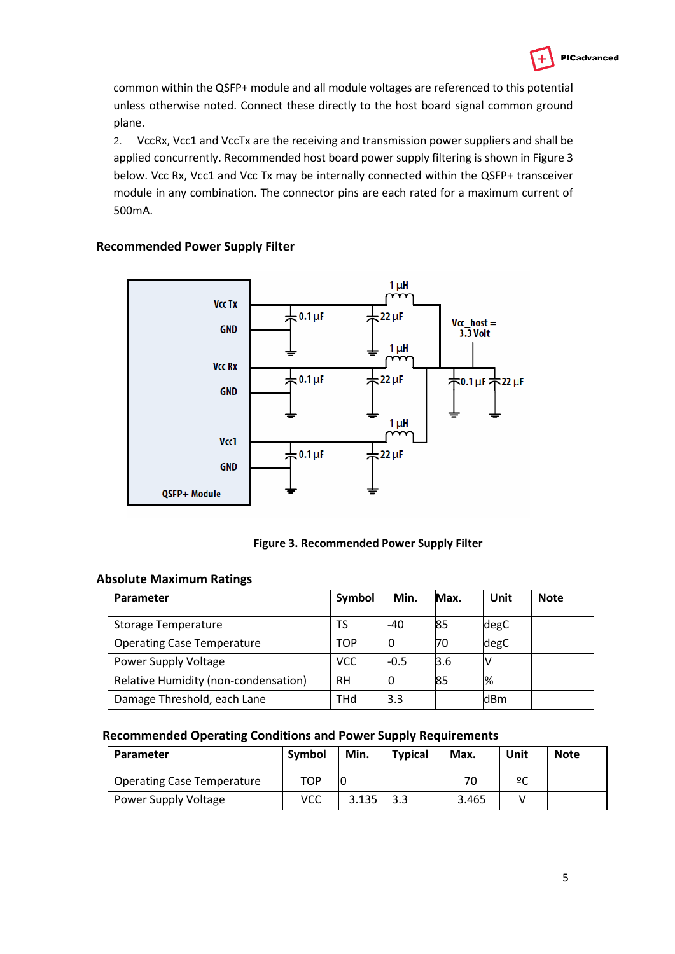

common within the QSFP+ module and all module voltages are referenced to this potential unless otherwise noted. Connect these directly to the host board signal common ground plane.

2. VccRx, Vcc1 and VccTx are the receiving and transmission power suppliers and shall be applied concurrently. Recommended host board power supply filtering is shown in Figure 3 below. Vcc Rx, Vcc1 and Vcc Tx may be internally connected within the QSFP+ transceiver module in any combination. The connector pins are each rated for a maximum current of 500mA.



## **Recommended Power Supply Filter**



#### **Absolute Maximum Ratings**

| Parameter                            | Symbol     | Min.   | Max. | Unit          | <b>Note</b> |
|--------------------------------------|------------|--------|------|---------------|-------------|
| <b>Storage Temperature</b>           | TS         | -40    | 85   | degC          |             |
| <b>Operating Case Temperature</b>    | <b>TOP</b> | 10     | 70   | degC          |             |
| Power Supply Voltage                 | VCC.       | $-0.5$ | 3.6  | N             |             |
| Relative Humidity (non-condensation) | <b>RH</b>  |        | 85   | $\frac{1}{6}$ |             |
| Damage Threshold, each Lane          | THd        | l3.3   |      | ldBm          |             |

#### **Recommended Operating Conditions and Power Supply Requirements**

| Parameter                         | Symbol | Min.  | <b>Typical</b> | Max.  | Unit | <b>Note</b> |
|-----------------------------------|--------|-------|----------------|-------|------|-------------|
| <b>Operating Case Temperature</b> | TOP    |       |                | 70    | ºC   |             |
| <b>Power Supply Voltage</b>       | VCC    | 3.135 | 3.3            | 3.465 |      |             |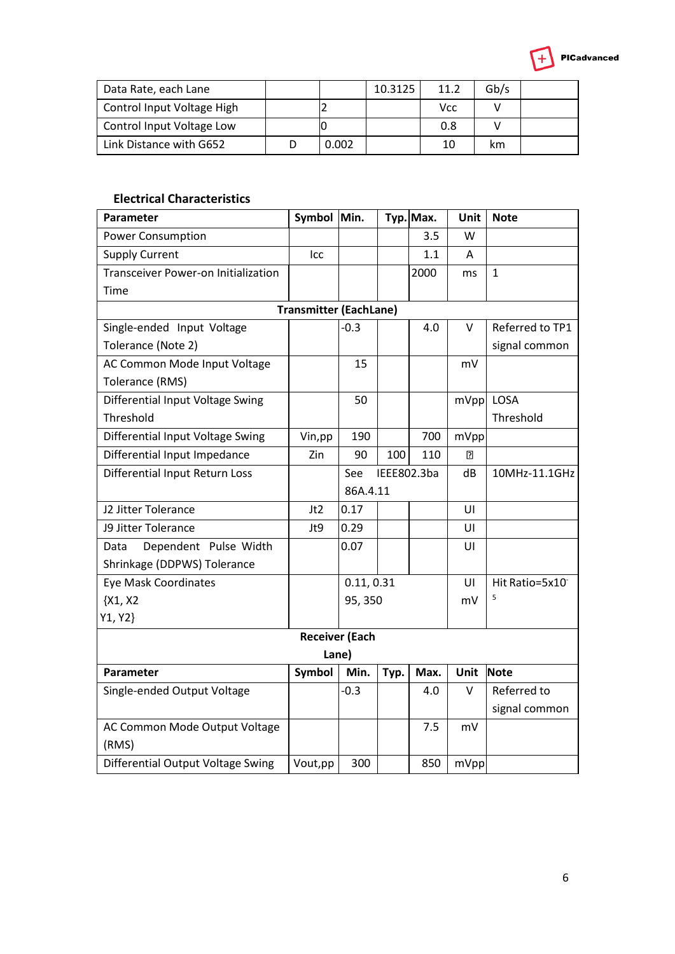

| Data Rate, each Lane       |       | 10.3125 | 11.2 | Gb/s |  |
|----------------------------|-------|---------|------|------|--|
| Control Input Voltage High |       |         | Vcc  |      |  |
| Control Input Voltage Low  |       |         | 0.8  |      |  |
| Link Distance with G652    | 0.002 |         | 10   | km   |  |

## **Electrical Characteristics**

| Parameter                           | Symbol Min.                   |                       |             | Typ. Max. | Unit           | <b>Note</b>     |  |  |  |
|-------------------------------------|-------------------------------|-----------------------|-------------|-----------|----------------|-----------------|--|--|--|
| <b>Power Consumption</b>            |                               |                       |             | 3.5       | W              |                 |  |  |  |
| <b>Supply Current</b>               | Icc                           |                       |             | 1.1       | A              |                 |  |  |  |
| Transceiver Power-on Initialization |                               |                       |             | 2000      | ms             | $\mathbf{1}$    |  |  |  |
| Time                                |                               |                       |             |           |                |                 |  |  |  |
|                                     | <b>Transmitter (EachLane)</b> |                       |             |           |                |                 |  |  |  |
| Single-ended Input Voltage          |                               | $-0.3$                |             | 4.0       | v              | Referred to TP1 |  |  |  |
| Tolerance (Note 2)                  |                               |                       |             |           |                | signal common   |  |  |  |
| AC Common Mode Input Voltage        |                               | 15                    |             |           | mV             |                 |  |  |  |
| Tolerance (RMS)                     |                               |                       |             |           |                |                 |  |  |  |
| Differential Input Voltage Swing    |                               | 50                    |             |           | mVpp           | LOSA            |  |  |  |
| Threshold                           |                               |                       |             |           |                | Threshold       |  |  |  |
| Differential Input Voltage Swing    | Vin, pp                       | 190                   |             | 700       | mVpp           |                 |  |  |  |
| Differential Input Impedance        | Zin                           | 90                    | 100         | 110       | $\overline{2}$ |                 |  |  |  |
| Differential Input Return Loss      |                               | See                   | IEEE802.3ba |           | dB             | 10MHz-11.1GHz   |  |  |  |
|                                     |                               | 86A.4.11              |             |           |                |                 |  |  |  |
| J2 Jitter Tolerance                 | Jt2                           | 0.17                  |             |           | UI             |                 |  |  |  |
| J9 Jitter Tolerance                 | Jt9                           | 0.29                  |             |           | UI             |                 |  |  |  |
| Dependent Pulse Width<br>Data       |                               | 0.07                  |             |           | UI             |                 |  |  |  |
| Shrinkage (DDPWS) Tolerance         |                               |                       |             |           |                |                 |  |  |  |
| <b>Eye Mask Coordinates</b>         |                               | 0.11, 0.31            |             |           | UI             | Hit Ratio=5x10  |  |  |  |
| ${X1, X2}$                          |                               | 95, 350               |             |           | mV             | 5               |  |  |  |
| Y1, Y2}                             |                               |                       |             |           |                |                 |  |  |  |
|                                     |                               | <b>Receiver (Each</b> |             |           |                |                 |  |  |  |
| Lane)                               |                               |                       |             |           |                |                 |  |  |  |
| Parameter                           | Symbol                        | Min.                  | Typ.        | Max.      | <b>Unit</b>    | Note            |  |  |  |
| Single-ended Output Voltage         |                               | $-0.3$                |             | 4.0       | v              | Referred to     |  |  |  |
|                                     |                               |                       |             |           |                | signal common   |  |  |  |
| AC Common Mode Output Voltage       |                               |                       |             | 7.5       | mV             |                 |  |  |  |
| (RMS)                               |                               |                       |             |           |                |                 |  |  |  |
| Differential Output Voltage Swing   | Vout, pp                      | 300                   |             | 850       | mVpp           |                 |  |  |  |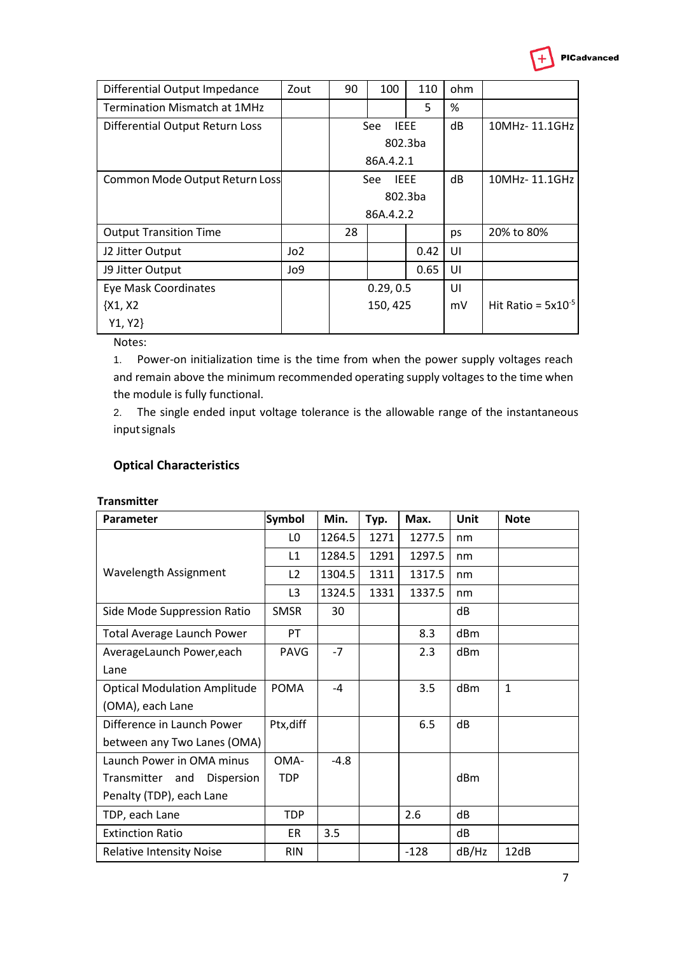| Differential Output Impedance       | Zout | 90        | 100                       | 110  | ohm |                         |
|-------------------------------------|------|-----------|---------------------------|------|-----|-------------------------|
| <b>Termination Mismatch at 1MHz</b> |      |           |                           | 5    | %   |                         |
| Differential Output Return Loss     |      |           | <b>IEEE</b><br>See        |      | dB  | 10MHz-11.1GHz           |
|                                     |      |           | 802.3ba                   |      |     |                         |
|                                     |      |           | 86A.4.2.1                 |      |     |                         |
| Common Mode Output Return Loss      |      |           | <b>IFFF</b><br><b>See</b> |      | dB  | 10MHz-11.1GHz           |
|                                     |      |           | 802.3ba                   |      |     |                         |
|                                     |      |           | 86A.4.2.2                 |      |     |                         |
| <b>Output Transition Time</b>       |      | 28        |                           |      | ps  | 20% to 80%              |
| J2 Jitter Output                    | Jo2  |           |                           | 0.42 | UI  |                         |
| J9 Jitter Output                    | Jo9  |           |                           | 0.65 | UI  |                         |
| Eye Mask Coordinates                |      | 0.29, 0.5 |                           |      | UI  |                         |
| $\{X1, X2$                          |      | 150, 425  |                           |      | mV  | Hit Ratio = $5x10^{-5}$ |
| Y1, Y2                              |      |           |                           |      |     |                         |

Notes:

1. Power-on initialization time is the time from when the power supply voltages reach and remain above the minimum recommended operating supply voltages to the time when the module is fully functional.

2. The single ended input voltage tolerance is the allowable range of the instantaneous inputsignals

## **Optical Characteristics**

#### **Transmitter**

| Parameter                           | <b>Symbol</b>  | Min.   | Typ. | Max.   | <b>Unit</b> | <b>Note</b>  |
|-------------------------------------|----------------|--------|------|--------|-------------|--------------|
|                                     | LO             | 1264.5 | 1271 | 1277.5 | nm          |              |
|                                     | L1             | 1284.5 | 1291 | 1297.5 | nm          |              |
| Wavelength Assignment               | L <sub>2</sub> | 1304.5 | 1311 | 1317.5 | nm          |              |
|                                     | L <sub>3</sub> | 1324.5 | 1331 | 1337.5 | nm          |              |
| Side Mode Suppression Ratio         | <b>SMSR</b>    | 30     |      |        | dB          |              |
| <b>Total Average Launch Power</b>   | PT             |        |      | 8.3    | dBm         |              |
| AverageLaunch Power, each           | <b>PAVG</b>    | $-7$   |      | 2.3    | dBm         |              |
| Lane                                |                |        |      |        |             |              |
| <b>Optical Modulation Amplitude</b> | <b>POMA</b>    | $-4$   |      | 3.5    | dBm         | $\mathbf{1}$ |
| (OMA), each Lane                    |                |        |      |        |             |              |
| Difference in Launch Power          | Ptx, diff      |        |      | 6.5    | dB          |              |
| between any Two Lanes (OMA)         |                |        |      |        |             |              |
| Launch Power in OMA minus           | OMA-           | $-4.8$ |      |        |             |              |
| Transmitter and<br>Dispersion       | <b>TDP</b>     |        |      |        | dBm         |              |
| Penalty (TDP), each Lane            |                |        |      |        |             |              |
| TDP, each Lane                      | TDP            |        |      | 2.6    | dB          |              |
| <b>Extinction Ratio</b>             | ER             | 3.5    |      |        | dB          |              |
| <b>Relative Intensity Noise</b>     | <b>RIN</b>     |        |      | $-128$ | dB/Hz       | 12dB         |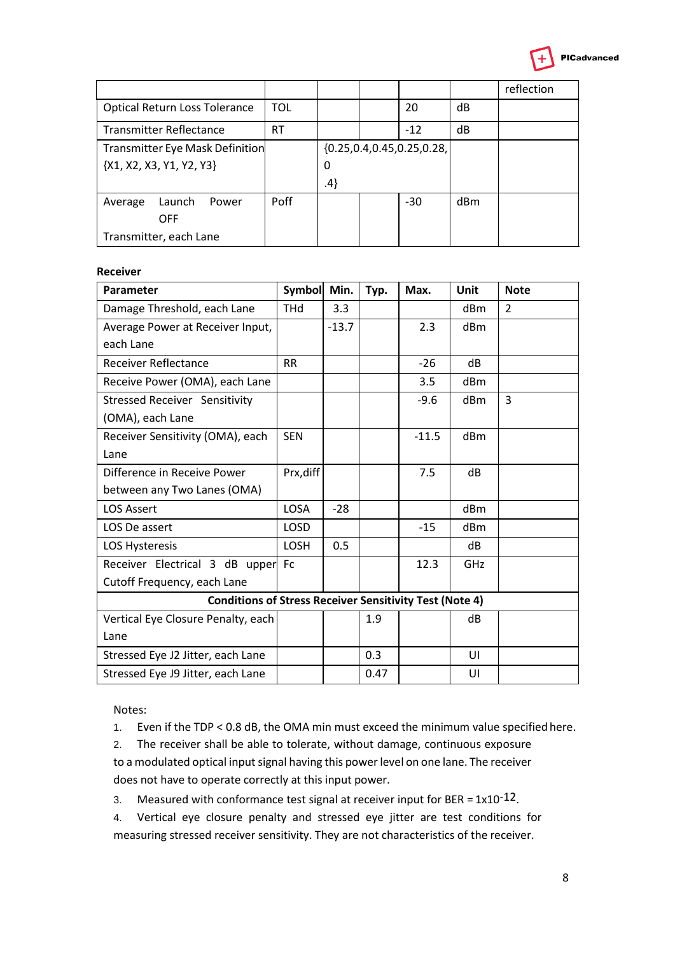

|                                        |            |     |  |                                 |     | reflection |
|----------------------------------------|------------|-----|--|---------------------------------|-----|------------|
| <b>Optical Return Loss Tolerance</b>   | <b>TOL</b> |     |  | 20                              | dB  |            |
| <b>Transmitter Reflectance</b>         | RT         |     |  | $-12$                           | dB  |            |
| <b>Transmitter Eye Mask Definition</b> |            |     |  | ${0.25, 0.4, 0.45, 0.25, 0.28}$ |     |            |
| ${X1, X2, X3, Y1, Y2, Y3}$             |            | 0   |  |                                 |     |            |
|                                        |            | .4} |  |                                 |     |            |
| Launch<br>Average<br>Power             | Poff       |     |  | $-30$                           | dBm |            |
| <b>OFF</b>                             |            |     |  |                                 |     |            |
| Transmitter, each Lane                 |            |     |  |                                 |     |            |

#### **Receiver**

| Parameter                                                      | <b>Symbol</b> | Min.    | Typ. | Max.    | Unit            | <b>Note</b>   |  |  |
|----------------------------------------------------------------|---------------|---------|------|---------|-----------------|---------------|--|--|
| Damage Threshold, each Lane                                    | THd           | 3.3     |      |         | dBm             | $\mathcal{P}$ |  |  |
| Average Power at Receiver Input,                               |               | $-13.7$ |      | 2.3     | dBm             |               |  |  |
| each Lane                                                      |               |         |      |         |                 |               |  |  |
| <b>Receiver Reflectance</b>                                    | <b>RR</b>     |         |      | $-26$   | dB              |               |  |  |
| Receive Power (OMA), each Lane                                 |               |         |      | 3.5     | dBm             |               |  |  |
| <b>Stressed Receiver Sensitivity</b>                           |               |         |      | $-9.6$  | dBm             | 3             |  |  |
| (OMA), each Lane                                               |               |         |      |         |                 |               |  |  |
| Receiver Sensitivity (OMA), each                               | <b>SEN</b>    |         |      | $-11.5$ | d <sub>Bm</sub> |               |  |  |
| Lane                                                           |               |         |      |         |                 |               |  |  |
| Difference in Receive Power                                    | Prx, diff     |         |      | 7.5     | dB              |               |  |  |
| between any Two Lanes (OMA)                                    |               |         |      |         |                 |               |  |  |
| <b>LOS Assert</b>                                              | <b>LOSA</b>   | $-28$   |      |         | dBm             |               |  |  |
| LOS De assert                                                  | <b>LOSD</b>   |         |      | $-15$   | dB <sub>m</sub> |               |  |  |
| LOS Hysteresis                                                 | LOSH          | 0.5     |      |         | dB              |               |  |  |
| Receiver Electrical 3 dB upper                                 | <b>Fc</b>     |         |      | 12.3    | GHz             |               |  |  |
| Cutoff Frequency, each Lane                                    |               |         |      |         |                 |               |  |  |
| <b>Conditions of Stress Receiver Sensitivity Test (Note 4)</b> |               |         |      |         |                 |               |  |  |
| Vertical Eye Closure Penalty, each                             |               |         | 1.9  |         | dB              |               |  |  |
| Lane                                                           |               |         |      |         |                 |               |  |  |
| Stressed Eye J2 Jitter, each Lane                              |               |         | 0.3  |         | UI              |               |  |  |
| Stressed Eye J9 Jitter, each Lane                              |               |         | 0.47 |         | UI              |               |  |  |

Notes:

1. Even if the TDP < 0.8 dB, the OMA min must exceed the minimum value specified here.

2. The receiver shall be able to tolerate, without damage, continuous exposure to a modulated optical input signal having this power level on one lane. The receiver does not have to operate correctly at this input power.

3. Measured with conformance test signal at receiver input for BER =  $1x10^{-12}$ .

4. Vertical eye closure penalty and stressed eye jitter are test conditions for measuring stressed receiver sensitivity. They are not characteristics of the receiver.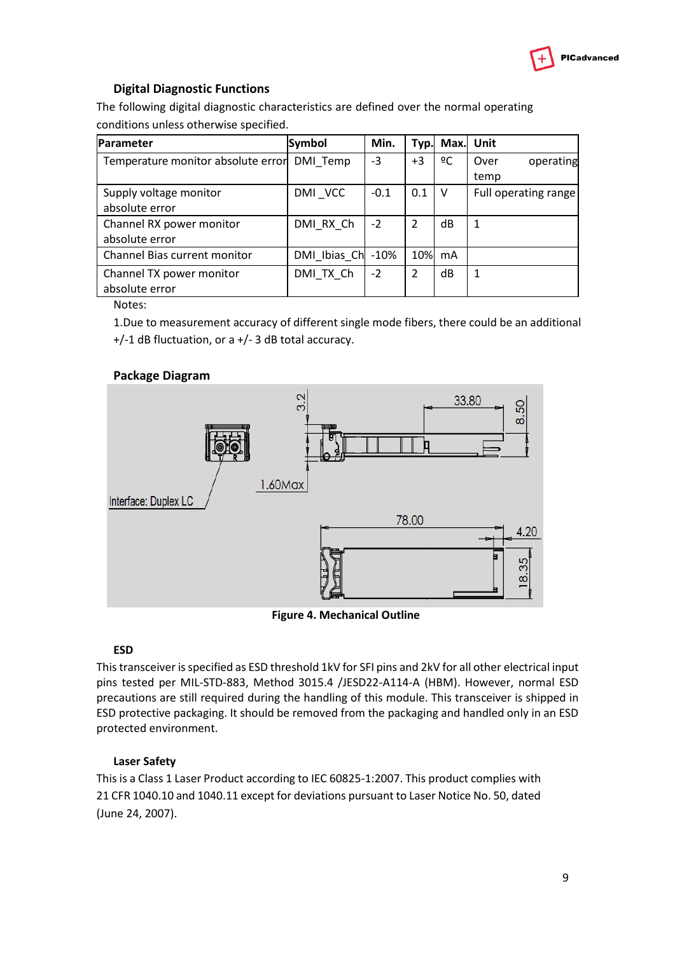

## **Digital Diagnostic Functions**

The following digital diagnostic characteristics are defined over the normal operating conditions unless otherwise specified.

| Parameter                          | <b>Symbol</b> | Min.   | Typ.          |    | Max. Unit            |
|------------------------------------|---------------|--------|---------------|----|----------------------|
| Temperature monitor absolute error | DMI Temp      | -3     | $+3$          | ºC | operating<br>Over    |
|                                    |               |        |               |    | temp                 |
| Supply voltage monitor             | DMI VCC       | $-0.1$ | 0.1           | V  | Full operating range |
| absolute error                     |               |        |               |    |                      |
| Channel RX power monitor           | DMI_RX_Ch     | $-2$   | $\mathcal{P}$ | dB |                      |
| absolute error                     |               |        |               |    |                      |
| Channel Bias current monitor       | DMI_Ibias_Ch  | $-10%$ | 10%           | mA |                      |
| Channel TX power monitor           | DMI TX Ch     | $-2$   | $\mathcal{P}$ | dB |                      |
| absolute error                     |               |        |               |    |                      |

Notes:

1.Due to measurement accuracy of different single mode fibers, there could be an additional +/-1 dB fluctuation, or a +/- 3 dB total accuracy.

#### **Package Diagram**



**Figure 4. Mechanical Outline**

#### **ESD**

This transceiver is specified as ESD threshold 1kV for SFI pins and 2kV for all other electrical input pins tested per MIL-STD-883, Method 3015.4 /JESD22-A114-A (HBM). However, normal ESD precautions are still required during the handling of this module. This transceiver is shipped in ESD protective packaging. It should be removed from the packaging and handled only in an ESD protected environment.

#### **Laser Safety**

This is a Class 1 Laser Product according to IEC 60825-1:2007. This product complies with 21 CFR 1040.10 and 1040.11 except for deviations pursuant to Laser Notice No. 50, dated (June 24, 2007).